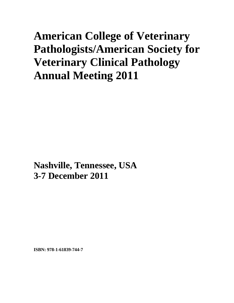# **American College of Veterinary Pathologists/American Society for Veterinary Clinical Pathology Annual Meeting 2011**

**Nashville, Tennessee, USA 3-7 December 2011**

**ISBN: 978-1-61839-744-7**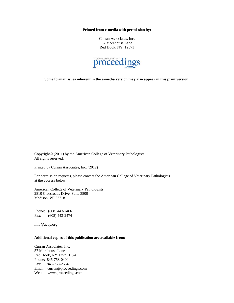**Printed from e-media with permission by:** 

Curran Associates, Inc. 57 Morehouse Lane Red Hook, NY 12571



**Some format issues inherent in the e-media version may also appear in this print version.** 

Copyright© (2011) by the American College of Veterinary Pathologists All rights reserved.

Printed by Curran Associates, Inc. (2012)

For permission requests, please contact the American College of Veterinary Pathologists at the address below.

American College of Veterinary Pathologists 2810 Crossroads Drive, Suite 3800 Madison, WI 53718

Phone: (608) 443-2466 Fax: (608) 443-2474

info@acvp.org

#### **Additional copies of this publication are available from:**

Curran Associates, Inc. 57 Morehouse Lane Red Hook, NY 12571 USA Phone: 845-758-0400 Fax: 845-758-2634 Email: curran@proceedings.com Web: www.proceedings.com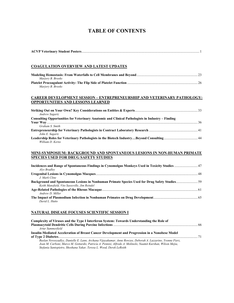# **TABLE OF CONTENTS**

| <u>COAGULATION OVERVIEW AND LATEST UPDATES</u>                                                                                                  |  |
|-------------------------------------------------------------------------------------------------------------------------------------------------|--|
| Marjory B. Brooks                                                                                                                               |  |
| Marjory B. Brooks                                                                                                                               |  |
| <b>CAREER DEVELOPMENT SESSION – ENTREPRENEURSHIP AND VETERINARY PATHOLOGY:</b><br><b>OPPORTUNITIES AND LESSONS LEARNED</b>                      |  |
| <b>Andrew Sagartz</b>                                                                                                                           |  |
| Consulting Opportunities for Veterinary Anatomic and Clinical Pathologists in Industry - Finding<br>Graham S. Smith                             |  |
|                                                                                                                                                 |  |
| John E. Sagartz<br>Leadership Roles for Veterinary Pathologists in the Biotech IndustryBeyond Consulting44<br>William D. Kerns                  |  |
| MINI-SYMPOSIUM: BACKGROUND AND SPONTANEOUS LESIONS IN NON-HUMAN PRIMATE<br><b>SPECIES USED FOR DRUG SAFETY STUDIES</b>                          |  |
| Incidences and Range of Spontaneous Findings in Cynomolgus Monkeys Used in Toxicity Studies  47<br>Alys Bradley                                 |  |
| J. Mark Cline                                                                                                                                   |  |
| Background and Spontaneous Lesions in Nonhuman Primate Species Used for Drug Safety Studies 59<br>Keith Mansfield, Vito Sasseville, Jim Reindel |  |
| Andrew D. Miller                                                                                                                                |  |
| David L. Hutto                                                                                                                                  |  |
| NATURAL DISEASE FOCUSES SCIENTIFIC SESSION I                                                                                                    |  |
| Complexity of Viruses and the Type I Interferon System: Towards Understanding the Role of<br>Artur Summerfield                                  |  |
| Insulin-Mediated Acceleration of Breast Cancer Development and Progression in a Nonobese Model                                                  |  |

*Ruslan Novosyadlyy, Danielle E. Lann, Archana Vijayakumar, Anne Rowzee, Deborah A. Lazzarino, Yvonne Fierz, Joan M. Carboni, Marco M. Gottardis, Patricia A. Pennisi, Alfredo A. Molinolo, Naamit Kurshan, Wilson Mejia, Stefania Santopietro, Shoshana Yakar, Teresa L. Wood, Derek LeRoith*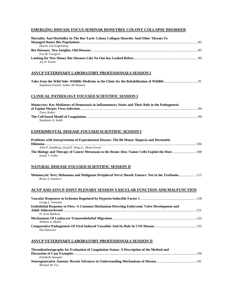### **EMERGING DISEASE FOCUS SEMINAR HONEYBEE COLONY COLLAPSE DISORDER**

| Mortality And Morbidity In The Bee Yard: Colony Collapse Disorder And Other Threats To                                                                                   |
|--------------------------------------------------------------------------------------------------------------------------------------------------------------------------|
| Dennis Van Engelsdorp                                                                                                                                                    |
| Eva M. Forsgren                                                                                                                                                          |
| Jay D. Evans                                                                                                                                                             |
| ASVCP VETERINARY LABORATORY PROFESSIONALS SESSION I                                                                                                                      |
| Stephanie French, Amber McNamara                                                                                                                                         |
| <b>CLINICAL PATHOLOGY FOCUSED SCIENTIFIC SESSION I</b>                                                                                                                   |
| Monocytes: Key Mediators of Hemostasis in Inflammatory States and Their Role in the Pathogenesis                                                                         |
| Tracy Stokol<br>Stephanie A. Smith                                                                                                                                       |
| <b>EXPERIMENTAL DISEASE FOCUSED SCIENTIFIC SESSION I</b>                                                                                                                 |
| Problems with Interpretation of Experimental Disease: The B6 Mouse Alopecia and Dermatitis                                                                               |
| John P. Sundberg, Lloyd E. King Jr., Helen Everts<br>The Biology and Therapy of Cancer Metastasis to the Brain: How Tumor Cells Exploit the Host 108<br>Isaiah J. Fidler |
| <u>NATURAL DISEASE FOCUSED SCIENTIFIC SESSION II</u>                                                                                                                     |
| Melanocytic Nevi, Melanoma and Malignant Peripheral Nerve Sheath Tumors: Not in the Textbooks  113<br><b>Brian A. Summers</b>                                            |
| ACVP AND ASVCP JOINT PLENARY SESSION VASCULAR FUNCTION AND MALFUNCTION                                                                                                   |
| Gregg L. Semenza                                                                                                                                                         |
| <b>Endothelial Response to Flow: A Common Mechanism Directing Embryonic Valve Development and</b><br>H. Scott Baldwin                                                    |
| William A. Muller                                                                                                                                                        |
| Don Knowles                                                                                                                                                              |
| ASVCP VETERINARY LABORATORY PROFESSIONALS SESSION II                                                                                                                     |

| Thromboelastography for Evaluation of Coagulation Status: A Description of the Method and |  |
|-------------------------------------------------------------------------------------------|--|
|                                                                                           |  |
| Elizabeth Spangler                                                                        |  |
|                                                                                           |  |
| Michael M. Fry                                                                            |  |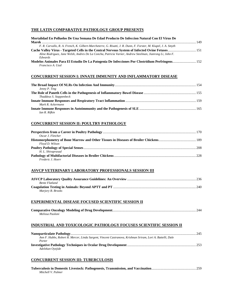#### **THE LATIN COMPARATIVE PATHOLOGY GROUP PRESENTS**

| Mortalidad En Polluelos De Una Semana De Edad Producto De Infeccion Natural Con El Virus De                      |     |
|------------------------------------------------------------------------------------------------------------------|-----|
|                                                                                                                  | 149 |
| F. R. Carvallo, R. A. French, K. Gilbert-Marcheterre, G. Risatti, J. R. Dunn, F. Forster, M. Kiupel, J. A. Smyth |     |
| Cache Valley Virus - Targeted Cells in the Central Nervous System of Infected Ovine Fetuses 151                  |     |
| Aline Rodriguez, Jane Welsh, Andres De La Concha, Patricia Varner, Andrew Steelman, Jianrong Li, John F.         |     |
| Edwards                                                                                                          |     |
| Modelos Animales Para El Estudio De La Patogenia De Infecciones Por Clostridium Perfringens 152                  |     |
| Francisco A. Uzal                                                                                                |     |

#### **CONCURRENT SESSION I: INNATE IMMUNITY AND INFLAMMATORY DISEASE**

| Jenny P. Ting           |  |
|-------------------------|--|
|                         |  |
| Thaddeus S. Stappenbeck |  |
|                         |  |
| Mark R. Ackermann       |  |
|                         |  |
| Ian R. Rifkin           |  |

#### **CONCURRENT SESSION II: POULTRY PATHOLOGY**

| Oscar J. Fletcher |  |
|-------------------|--|
|                   |  |
| Floyd D. Wilson   |  |
|                   |  |
| H. L. Shivaprasad |  |
|                   |  |
| Frederic J. Hoerr |  |

#### **ASVCP VETERINARY LABORATORY PROFESSIONALS SESSION III**

| <b>Bente Flatland</b> |  |
|-----------------------|--|
|                       |  |
| Marjory B. Brooks     |  |

#### **EXPERIMENTAL DISEASE FOCUSED SCIENTIFIC SESSION II**

| Melissa Paoloni |  |
|-----------------|--|

#### **INDUSTRIAL AND TOXICOLOGIC PATHOLOGY FOCUSES SCIENTIFIC SESSION II**

| Ann F. Hubbs, Robert R. Mercer, Linda Sargent, Vincent Castranova, Krishnan Sriram, Lori A. Battelli, Dale |  |
|------------------------------------------------------------------------------------------------------------|--|
| Porter                                                                                                     |  |
|                                                                                                            |  |
| Adelekan Oyejide                                                                                           |  |

#### **CONCURRENT SESSION III: TUBERCULOSIS**

| Mitchell V. Palmer |  |  |
|--------------------|--|--|